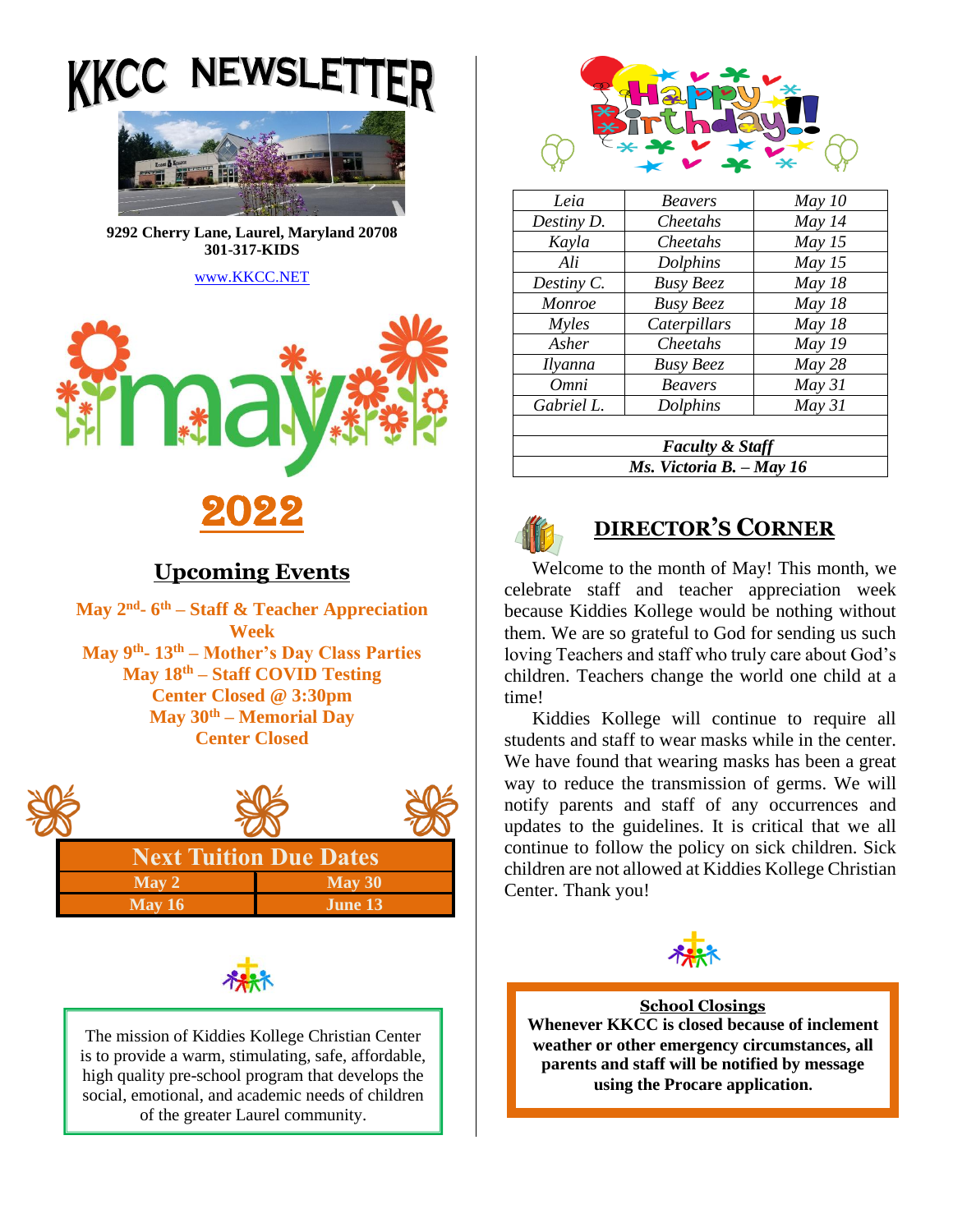**NEWSL** 



**9292 Cherry Lane, Laurel, Maryland 20708 301-317-KIDS** 

[www.KKCC.NET](http://www.kkcc.net/)



## **Upcoming Events**

**May 2nd - 6 th – Staff & Teacher Appreciation Week May 9th - 13th – Mother's Day Class Parties May 18th – Staff COVID Testing Center Closed @ 3:30pm May 30th – Memorial Day Center Closed**





The mission of Kiddies Kollege Christian Center is to provide a warm, stimulating, safe, affordable, high quality pre-school program that develops the social, emotional, and academic needs of children of the greater Laurel community.



| Leia                       | <b>Beavers</b>   | May 10 |
|----------------------------|------------------|--------|
| Destiny D.                 | Cheetahs         | May 14 |
| Kayla                      | Cheetahs         | May 15 |
| Ali                        | Dolphins         | May 15 |
| Destiny C.                 | <b>Busy Beez</b> | May 18 |
| Monroe                     | <b>Busy Beez</b> | May 18 |
| <i>Myles</i>               | Caterpillars     | May 18 |
| Asher                      | Cheetahs         | May 19 |
| <i>Ilyanna</i>             | <b>Busy Beez</b> | May 28 |
| Omni                       | <b>Beavers</b>   | May 31 |
| Gabriel L.                 | Dolphins         | May 31 |
|                            |                  |        |
| <b>Faculty &amp; Staff</b> |                  |        |
| Ms. Victoria B. - May 16   |                  |        |



# **DIRECTOR'S CORNER**

Welcome to the month of May! This month, we celebrate staff and teacher appreciation week because Kiddies Kollege would be nothing without them. We are so grateful to God for sending us such loving Teachers and staff who truly care about God's children. Teachers change the world one child at a time!

Kiddies Kollege will continue to require all students and staff to wear masks while in the center. We have found that wearing masks has been a great way to reduce the transmission of germs. We will notify parents and staff of any occurrences and updates to the guidelines. It is critical that we all continue to follow the policy on sick children. Sick children are not allowed at Kiddies Kollege Christian Center. Thank you!



**School Closings Whenever KKCC is closed because of inclement weather or other emergency circumstances, all parents and staff will be notified by message using the Procare application.**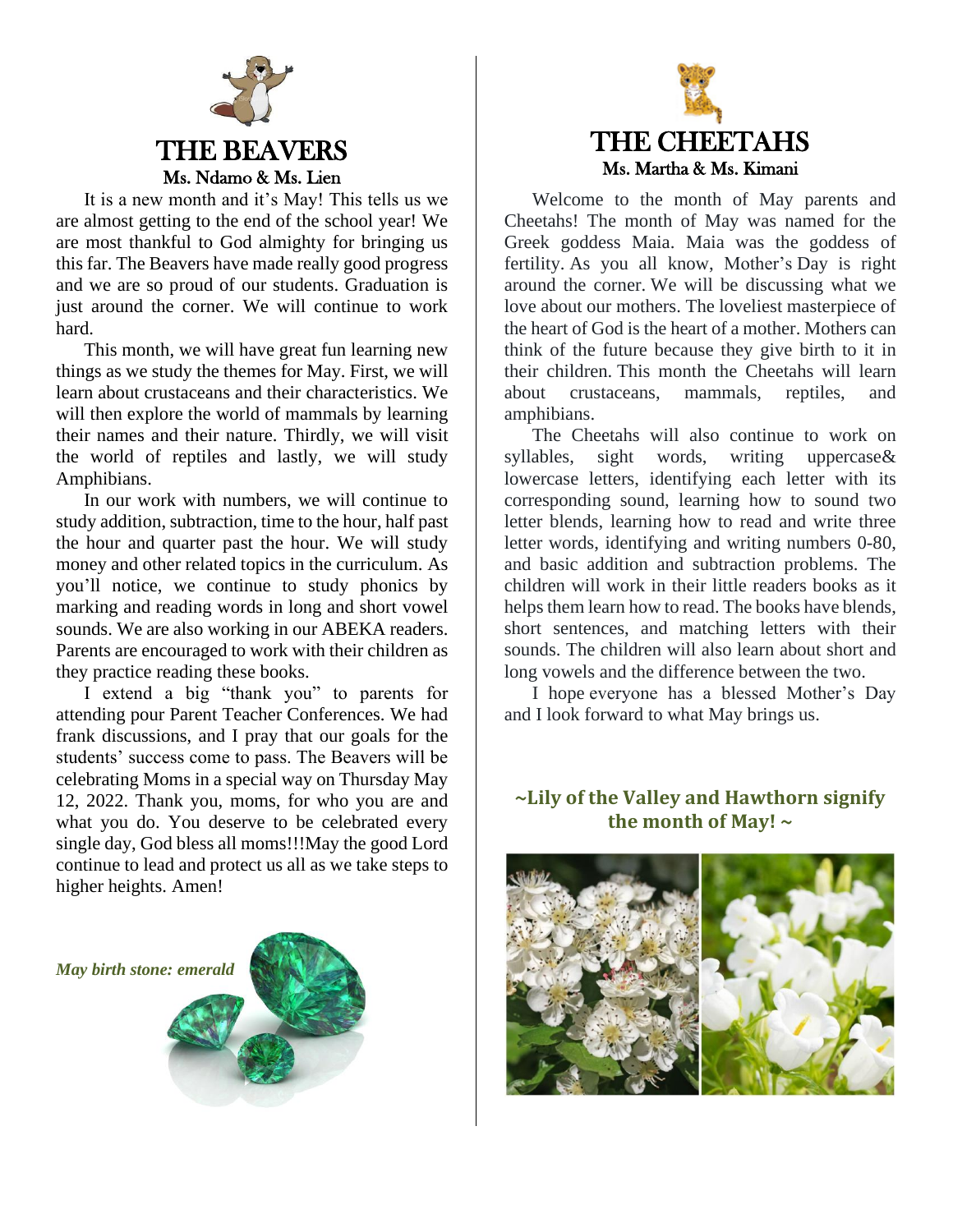

It is a new month and it's May! This tells us we are almost getting to the end of the school year! We are most thankful to God almighty for bringing us this far. The Beavers have made really good progress and we are so proud of our students. Graduation is just around the corner. We will continue to work hard.

This month, we will have great fun learning new things as we study the themes for May. First, we will learn about crustaceans and their characteristics. We will then explore the world of mammals by learning their names and their nature. Thirdly, we will visit the world of reptiles and lastly, we will study Amphibians.

In our work with numbers, we will continue to study addition, subtraction, time to the hour, half past the hour and quarter past the hour. We will study money and other related topics in the curriculum. As you'll notice, we continue to study phonics by marking and reading words in long and short vowel sounds. We are also working in our ABEKA readers. Parents are encouraged to work with their children as they practice reading these books.

I extend a big "thank you" to parents for attending pour Parent Teacher Conferences. We had frank discussions, and I pray that our goals for the students' success come to pass. The Beavers will be celebrating Moms in a special way on Thursday May 12, 2022. Thank you, moms, for who you are and what you do. You deserve to be celebrated every single day, God bless all moms!!!May the good Lord continue to lead and protect us all as we take steps to higher heights. Amen!

*May birth stone: emerald*





Welcome to the month of May parents and Cheetahs! The month of May was named for the Greek goddess Maia. Maia was the goddess of fertility. As you all know, Mother's Day is right around the corner. We will be discussing what we love about our mothers. The loveliest masterpiece of the heart of God is the heart of a mother. Mothers can think of the future because they give birth to it in their children. This month the Cheetahs will learn about crustaceans, mammals, reptiles, and amphibians.

The Cheetahs will also continue to work on syllables, sight words, writing uppercase& lowercase letters, identifying each letter with its corresponding sound, learning how to sound two letter blends, learning how to read and write three letter words, identifying and writing numbers 0-80, and basic addition and subtraction problems. The children will work in their little readers books as it helps them learn how to read. The books have blends, short sentences, and matching letters with their sounds. The children will also learn about short and long vowels and the difference between the two.

I hope everyone has a blessed Mother's Day and I look forward to what May brings us.

## **~Lily of the Valley and Hawthorn signify the month of May! ~**

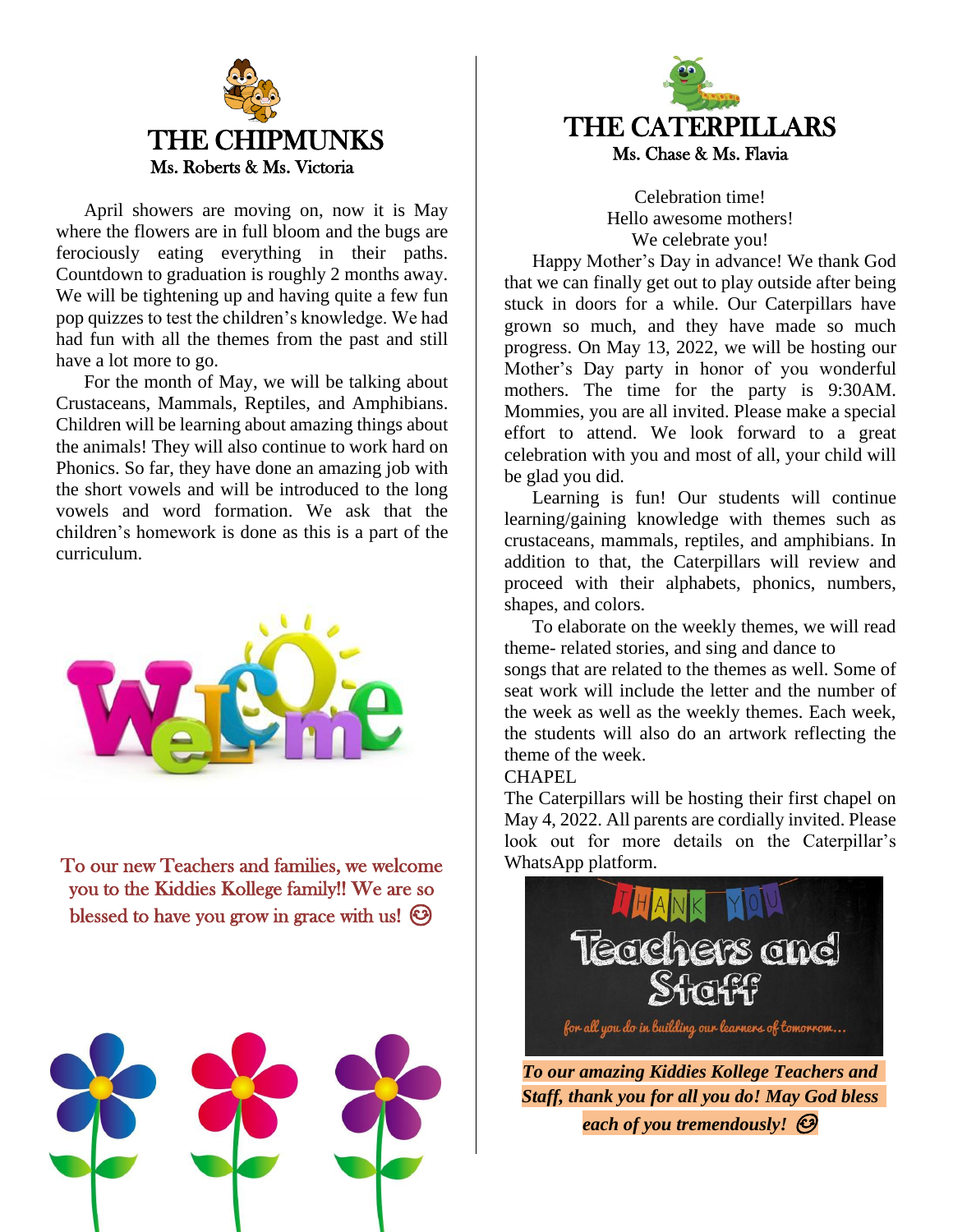

April showers are moving on, now it is May where the flowers are in full bloom and the bugs are ferociously eating everything in their paths. Countdown to graduation is roughly 2 months away. We will be tightening up and having quite a few fun pop quizzes to test the children's knowledge. We had had fun with all the themes from the past and still have a lot more to go.

For the month of May, we will be talking about Crustaceans, Mammals, Reptiles, and Amphibians. Children will be learning about amazing things about the animals! They will also continue to work hard on Phonics. So far, they have done an amazing job with the short vowels and will be introduced to the long vowels and word formation. We ask that the children's homework is done as this is a part of the curriculum.



To our new Teachers and families, we welcome you to the Kiddies Kollege family!! We are so blessed to have you grow in grace with us!  $\odot$ 





Celebration time! Hello awesome mothers! We celebrate you!

Happy Mother's Day in advance! We thank God that we can finally get out to play outside after being stuck in doors for a while. Our Caterpillars have grown so much, and they have made so much progress. On May 13, 2022, we will be hosting our Mother's Day party in honor of you wonderful mothers. The time for the party is 9:30AM. Mommies, you are all invited. Please make a special effort to attend. We look forward to a great celebration with you and most of all, your child will be glad you did.

Learning is fun! Our students will continue learning/gaining knowledge with themes such as crustaceans, mammals, reptiles, and amphibians. In addition to that, the Caterpillars will review and proceed with their alphabets, phonics, numbers, shapes, and colors.

To elaborate on the weekly themes, we will read theme- related stories, and sing and dance to songs that are related to the themes as well. Some of seat work will include the letter and the number of the week as well as the weekly themes. Each week, the students will also do an artwork reflecting the theme of the week.

#### CHAPEL

The Caterpillars will be hosting their first chapel on May 4, 2022. All parents are cordially invited. Please look out for more details on the Caterpillar's WhatsApp platform.



*Staff, thank you for all you do! May God bless each of you tremendously!*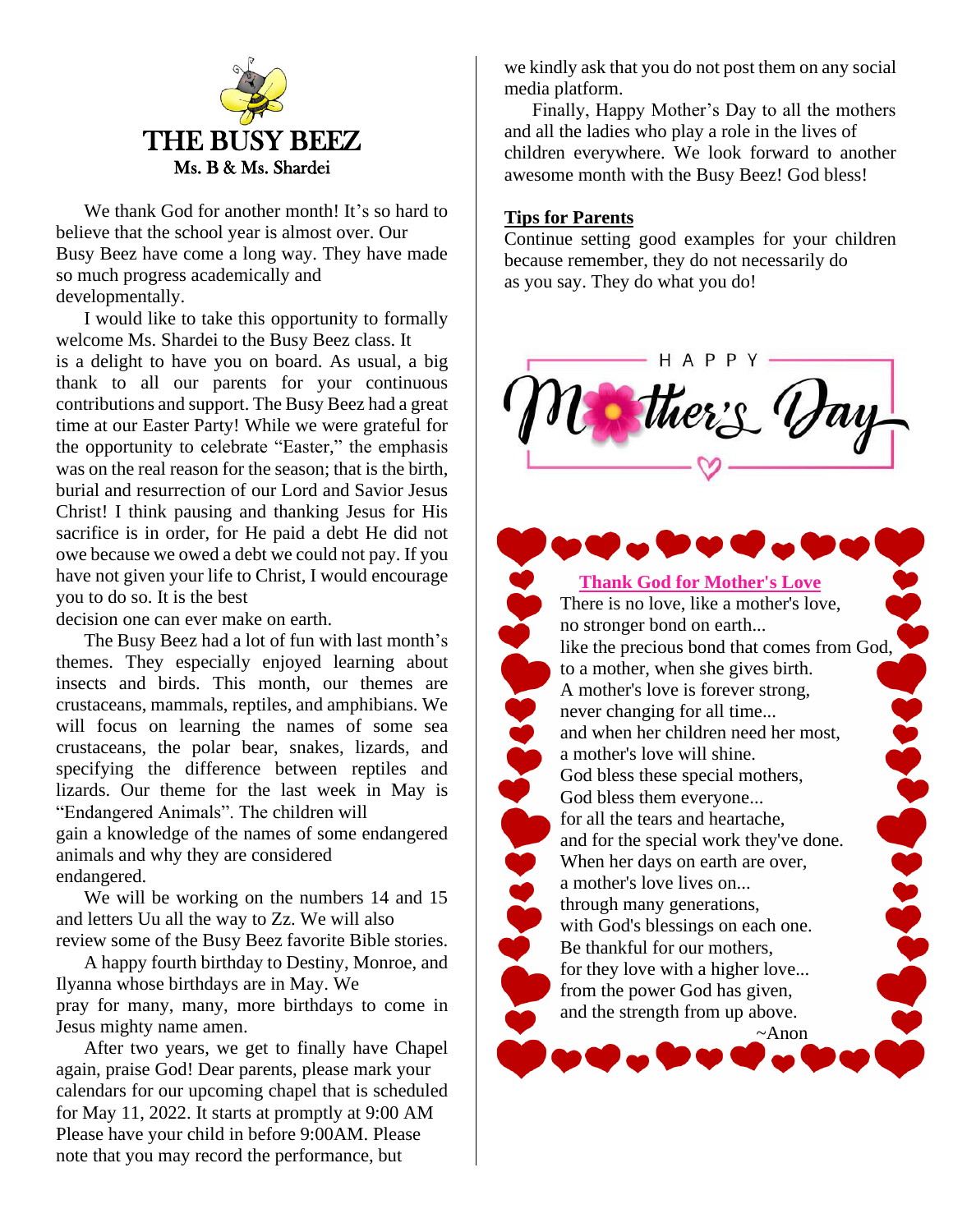

We thank God for another month! It's so hard to believe that the school year is almost over. Our Busy Beez have come a long way. They have made so much progress academically and developmentally.

I would like to take this opportunity to formally welcome Ms. Shardei to the Busy Beez class. It is a delight to have you on board. As usual, a big thank to all our parents for your continuous contributions and support. The Busy Beez had a great time at our Easter Party! While we were grateful for the opportunity to celebrate "Easter," the emphasis was on the real reason for the season; that is the birth, burial and resurrection of our Lord and Savior Jesus Christ! I think pausing and thanking Jesus for His sacrifice is in order, for He paid a debt He did not owe because we owed a debt we could not pay. If you have not given your life to Christ, I would encourage you to do so. It is the best

decision one can ever make on earth.

The Busy Beez had a lot of fun with last month's themes. They especially enjoyed learning about insects and birds. This month, our themes are crustaceans, mammals, reptiles, and amphibians. We will focus on learning the names of some sea crustaceans, the polar bear, snakes, lizards, and specifying the difference between reptiles and lizards. Our theme for the last week in May is "Endangered Animals". The children will gain a knowledge of the names of some endangered

animals and why they are considered endangered.

We will be working on the numbers 14 and 15 and letters Uu all the way to Zz. We will also review some of the Busy Beez favorite Bible stories.

A happy fourth birthday to Destiny, Monroe, and Ilyanna whose birthdays are in May. We pray for many, many, more birthdays to come in Jesus mighty name amen.

After two years, we get to finally have Chapel again, praise God! Dear parents, please mark your calendars for our upcoming chapel that is scheduled for May 11, 2022. It starts at promptly at 9:00 AM Please have your child in before 9:00AM. Please note that you may record the performance, but

we kindly ask that you do not post them on any social media platform.

Finally, Happy Mother's Day to all the mothers and all the ladies who play a role in the lives of children everywhere. We look forward to another awesome month with the Busy Beez! God bless!

### **Tips for Parents**

Continue setting good examples for your children because remember, they do not necessarily do as you say. They do what you do!



**Thank God for Mother's Love** There is no love, like a mother's love, no stronger bond on earth... like the precious bond that comes from God, to a mother, when she gives birth. A mother's love is forever strong, **SPOSE CEOCARIOS** 22822222 never changing for all time... and when her children need her most, a mother's love will shine. God bless these special mothers, God bless them everyone... for all the tears and heartache, and for the special work they've done. When her days on earth are over, a mother's love lives on... through many generations, with God's blessings on each one. Be thankful for our mothers, for they love with a higher love... from the power God has given, and the strength from up above. ~Anon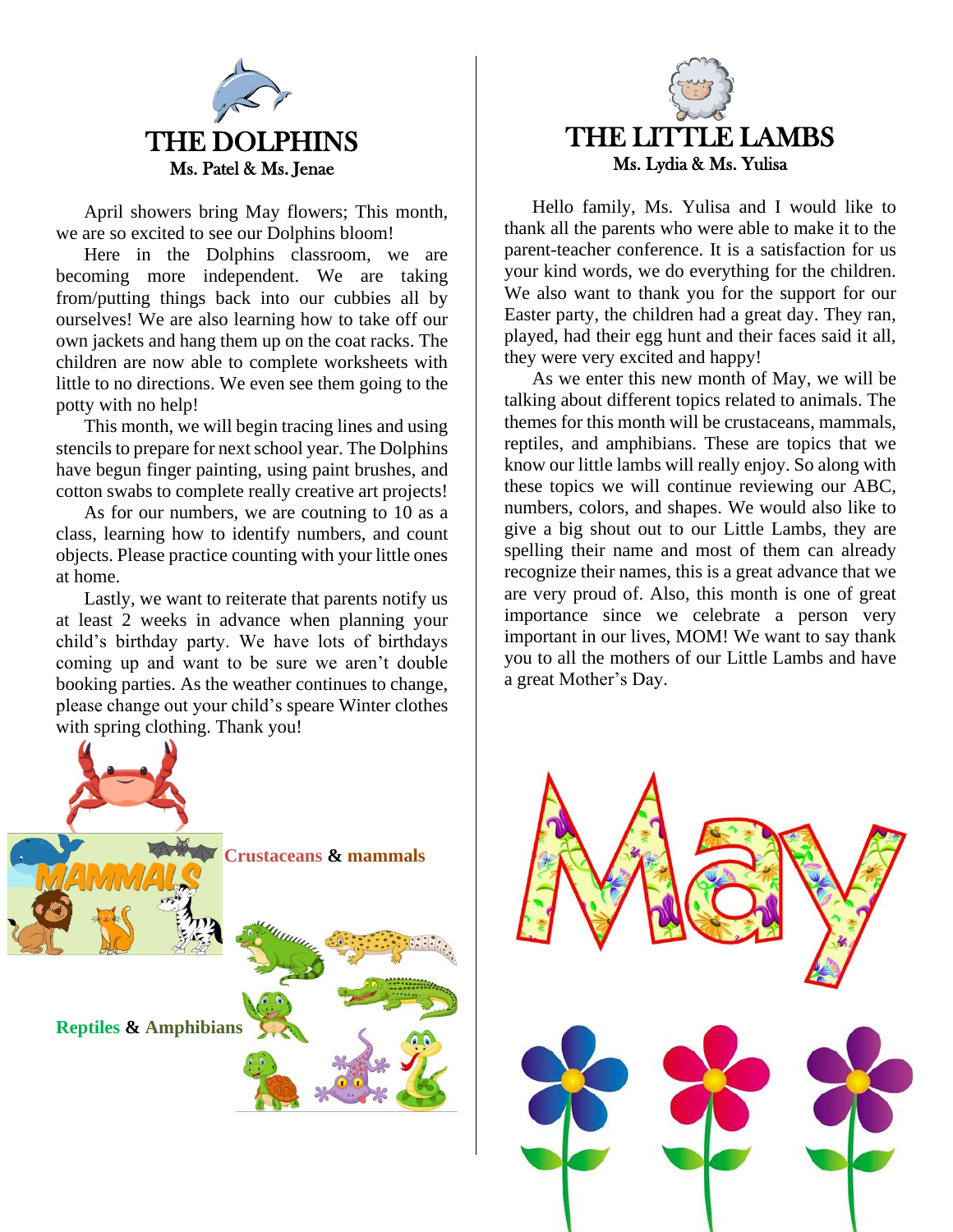

April showers bring May flowers; This month, we are so excited to see our Dolphins bloom!

Here in the Dolphins classroom, we are becoming more independent. We are taking from/putting things back into our cubbies all by ourselves! We are also learning how to take off our own jackets and hang them up on the coat racks. The children are now able to complete worksheets with little to no directions. We even see them going to the potty with no help!

This month, we will begin tracing lines and using stencils to prepare for next school year. The Dolphins have begun finger painting, using paint brushes, and cotton swabs to complete really creative art projects!

As for our numbers, we are coutning to 10 as a class, learning how to identify numbers, and count objects. Please practice counting with your little ones at home.

Lastly, we want to reiterate that parents notify us at least 2 weeks in advance when planning your child's birthday party. We have lots of birthdays coming up and want to be sure we aren't double booking parties. As the weather continues to change, please change out your child's speare Winter clothes with spring clothing. Thank you!





Hello family, Ms. Yulisa and I would like to thank all the parents who were able to make it to the parent-teacher conference. It is a satisfaction for us your kind words, we do everything for the children. We also want to thank you for the support for our Easter party, the children had a great day. They ran, played, had their egg hunt and their faces said it all, they were very excited and happy!

As we enter this new month of May, we will be talking about different topics related to animals. The themes for this month will be crustaceans, mammals, reptiles, and amphibians. These are topics that we know our little lambs will really enjoy. So along with these topics we will continue reviewing our ABC, numbers, colors, and shapes. We would also like to give a big shout out to our Little Lambs, they are spelling their name and most of them can already recognize their names, this is a great advance that we are very proud of. Also, this month is one of great importance since we celebrate a person very important in our lives, MOM! We want to say thank you to all the mothers of our Little Lambs and have a great Mother's Day.